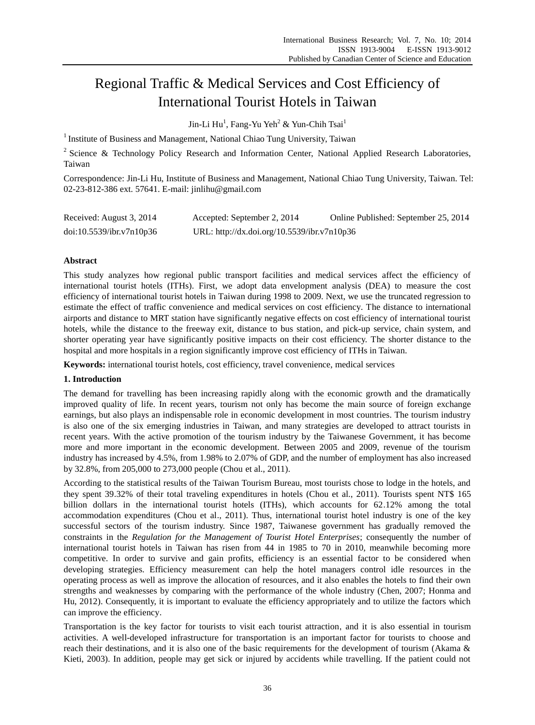# Regional Traffic & Medical Services and Cost Efficiency of International Tourist Hotels in Taiwan

Jin-Li Hu<sup>1</sup>, Fang-Yu Yeh<sup>2</sup> & Yun-Chih Tsai<sup>1</sup>

<sup>1</sup> Institute of Business and Management, National Chiao Tung University, Taiwan

<sup>2</sup> Science & Technology Policy Research and Information Center, National Applied Research Laboratories, Taiwan

Correspondence: Jin-Li Hu, Institute of Business and Management, National Chiao Tung University, Taiwan. Tel: 02-23-812-386 ext. 57641. E-mail: jinlihu@gmail.com

| Received: August 3, 2014 | Accepted: September 2, 2014                 | Online Published: September 25, 2014 |
|--------------------------|---------------------------------------------|--------------------------------------|
| doi:10.5539/ibr.v7n10p36 | URL: http://dx.doi.org/10.5539/ibr.v7n10p36 |                                      |

# **Abstract**

This study analyzes how regional public transport facilities and medical services affect the efficiency of international tourist hotels (ITHs). First, we adopt data envelopment analysis (DEA) to measure the cost efficiency of international tourist hotels in Taiwan during 1998 to 2009. Next, we use the truncated regression to estimate the effect of traffic convenience and medical services on cost efficiency. The distance to international airports and distance to MRT station have significantly negative effects on cost efficiency of international tourist hotels, while the distance to the freeway exit, distance to bus station, and pick-up service, chain system, and shorter operating year have significantly positive impacts on their cost efficiency. The shorter distance to the hospital and more hospitals in a region significantly improve cost efficiency of ITHs in Taiwan.

**Keywords:** international tourist hotels, cost efficiency, travel convenience, medical services

# **1. Introduction**

The demand for travelling has been increasing rapidly along with the economic growth and the dramatically improved quality of life. In recent years, tourism not only has become the main source of foreign exchange earnings, but also plays an indispensable role in economic development in most countries. The tourism industry is also one of the six emerging industries in Taiwan, and many strategies are developed to attract tourists in recent years. With the active promotion of the tourism industry by the Taiwanese Government, it has become more and more important in the economic development. Between 2005 and 2009, revenue of the tourism industry has increased by 4.5%, from 1.98% to 2.07% of GDP, and the number of employment has also increased by 32.8%, from 205,000 to 273,000 people (Chou et al., 2011).

According to the statistical results of the Taiwan Tourism Bureau, most tourists chose to lodge in the hotels, and they spent 39.32% of their total traveling expenditures in hotels (Chou et al., 2011). Tourists spent NT\$ 165 billion dollars in the international tourist hotels (ITHs), which accounts for 62.12% among the total accommodation expenditures (Chou et al., 2011). Thus, international tourist hotel industry is one of the key successful sectors of the tourism industry. Since 1987, Taiwanese government has gradually removed the constraints in the *Regulation for the Management of Tourist Hotel Enterprises*; consequently the number of international tourist hotels in Taiwan has risen from 44 in 1985 to 70 in 2010, meanwhile becoming more competitive. In order to survive and gain profits, efficiency is an essential factor to be considered when developing strategies. Efficiency measurement can help the hotel managers control idle resources in the operating process as well as improve the allocation of resources, and it also enables the hotels to find their own strengths and weaknesses by comparing with the performance of the whole industry (Chen, 2007; Honma and Hu, 2012). Consequently, it is important to evaluate the efficiency appropriately and to utilize the factors which can improve the efficiency.

Transportation is the key factor for tourists to visit each tourist attraction, and it is also essential in tourism activities. A well-developed infrastructure for transportation is an important factor for tourists to choose and reach their destinations, and it is also one of the basic requirements for the development of tourism (Akama & Kieti, 2003). In addition, people may get sick or injured by accidents while travelling. If the patient could not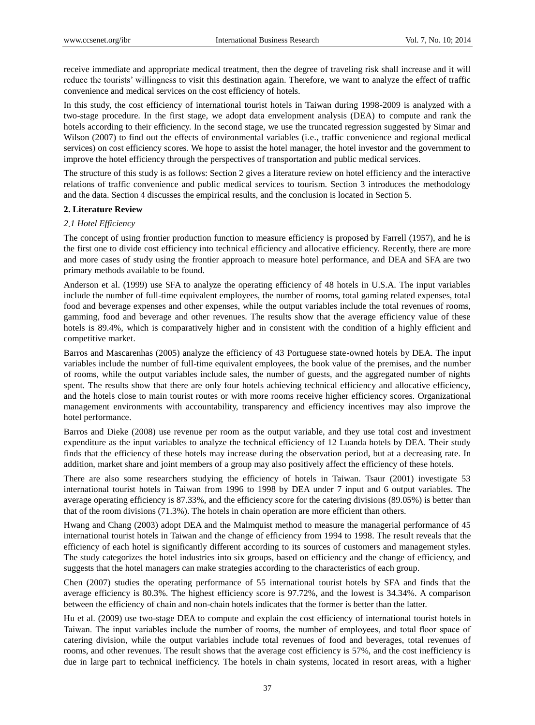receive immediate and appropriate medical treatment, then the degree of traveling risk shall increase and it will reduce the tourists' willingness to visit this destination again. Therefore, we want to analyze the effect of traffic convenience and medical services on the cost efficiency of hotels.

In this study, the cost efficiency of international tourist hotels in Taiwan during 1998-2009 is analyzed with a two-stage procedure. In the first stage, we adopt data envelopment analysis (DEA) to compute and rank the hotels according to their efficiency. In the second stage, we use the truncated regression suggested by Simar and Wilson (2007) to find out the effects of environmental variables (i.e., traffic convenience and regional medical services) on cost efficiency scores. We hope to assist the hotel manager, the hotel investor and the government to improve the hotel efficiency through the perspectives of transportation and public medical services.

The structure of this study is as follows: Section 2 gives a literature review on hotel efficiency and the interactive relations of traffic convenience and public medical services to tourism. Section 3 introduces the methodology and the data. Section 4 discusses the empirical results, and the conclusion is located in Section 5.

## **2. Literature Review**

## *2*.*1 Hotel Efficiency*

The concept of using frontier production function to measure efficiency is proposed by Farrell (1957), and he is the first one to divide cost efficiency into technical efficiency and allocative efficiency. Recently, there are more and more cases of study using the frontier approach to measure hotel performance, and DEA and SFA are two primary methods available to be found.

Anderson et al. (1999) use SFA to analyze the operating efficiency of 48 hotels in U.S.A. The input variables include the number of full-time equivalent employees, the number of rooms, total gaming related expenses, total food and beverage expenses and other expenses, while the output variables include the total revenues of rooms, gamming, food and beverage and other revenues. The results show that the average efficiency value of these hotels is 89.4%, which is comparatively higher and in consistent with the condition of a highly efficient and competitive market.

Barros and Mascarenhas (2005) analyze the efficiency of 43 Portuguese state-owned hotels by DEA. The input variables include the number of full-time equivalent employees, the book value of the premises, and the number of rooms, while the output variables include sales, the number of guests, and the aggregated number of nights spent. The results show that there are only four hotels achieving technical efficiency and allocative efficiency, and the hotels close to main tourist routes or with more rooms receive higher efficiency scores. Organizational management environments with accountability, transparency and efficiency incentives may also improve the hotel performance.

Barros and Dieke (2008) use revenue per room as the output variable, and they use total cost and investment expenditure as the input variables to analyze the technical efficiency of 12 Luanda hotels by DEA. Their study finds that the efficiency of these hotels may increase during the observation period, but at a decreasing rate. In addition, market share and joint members of a group may also positively affect the efficiency of these hotels.

There are also some researchers studying the efficiency of hotels in Taiwan. Tsaur (2001) investigate 53 international tourist hotels in Taiwan from 1996 to 1998 by DEA under 7 input and 6 output variables. The average operating efficiency is 87.33%, and the efficiency score for the catering divisions (89.05%) is better than that of the room divisions (71.3%). The hotels in chain operation are more efficient than others.

Hwang and Chang (2003) adopt DEA and the Malmquist method to measure the managerial performance of 45 international tourist hotels in Taiwan and the change of efficiency from 1994 to 1998. The result reveals that the efficiency of each hotel is significantly different according to its sources of customers and management styles. The study categorizes the hotel industries into six groups, based on efficiency and the change of efficiency, and suggests that the hotel managers can make strategies according to the characteristics of each group.

Chen (2007) studies the operating performance of 55 international tourist hotels by SFA and finds that the average efficiency is 80.3%. The highest efficiency score is 97.72%, and the lowest is 34.34%. A comparison between the efficiency of chain and non-chain hotels indicates that the former is better than the latter.

Hu et al. (2009) use two-stage DEA to compute and explain the cost efficiency of international tourist hotels in Taiwan. The input variables include the number of rooms, the number of employees, and total floor space of catering division, while the output variables include total revenues of food and beverages, total revenues of rooms, and other revenues. The result shows that the average cost efficiency is 57%, and the cost inefficiency is due in large part to technical inefficiency. The hotels in chain systems, located in resort areas, with a higher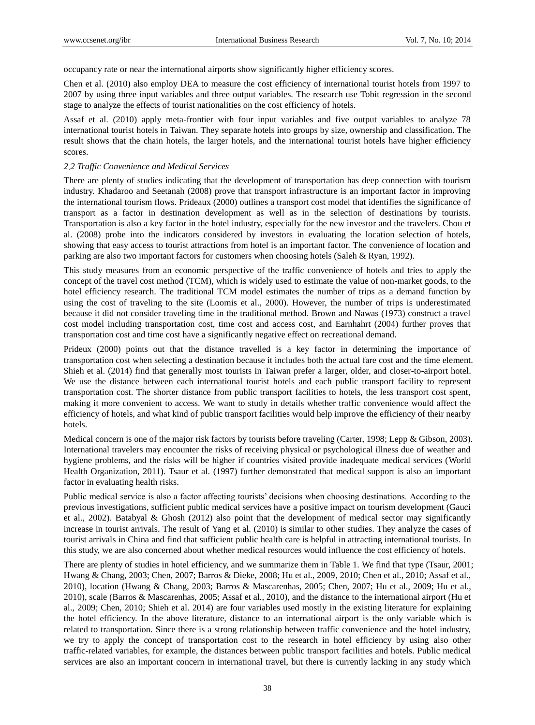occupancy rate or near the international airports show significantly higher efficiency scores.

Chen et al. (2010) also employ DEA to measure the cost efficiency of international tourist hotels from 1997 to 2007 by using three input variables and three output variables. The research use Tobit regression in the second stage to analyze the effects of tourist nationalities on the cost efficiency of hotels.

Assaf et al. (2010) apply meta-frontier with four input variables and five output variables to analyze 78 international tourist hotels in Taiwan. They separate hotels into groups by size, ownership and classification. The result shows that the chain hotels, the larger hotels, and the international tourist hotels have higher efficiency scores.

## *2*.*2 Traffic Convenience and Medical Services*

There are plenty of studies indicating that the development of transportation has deep connection with tourism industry. Khadaroo and Seetanah (2008) prove that transport infrastructure is an important factor in improving the international tourism flows. Prideaux (2000) outlines a transport cost model that identifies the significance of transport as a factor in destination development as well as in the selection of destinations by tourists. Transportation is also a key factor in the hotel industry, especially for the new investor and the travelers. Chou et al. (2008) probe into the indicators considered by investors in evaluating the location selection of hotels, showing that easy access to tourist attractions from hotel is an important factor. The convenience of location and parking are also two important factors for customers when choosing hotels (Saleh & Ryan, 1992).

This study measures from an economic perspective of the traffic convenience of hotels and tries to apply the concept of the travel cost method (TCM), which is widely used to estimate the value of non-market goods, to the hotel efficiency research. The traditional TCM model estimates the number of trips as a demand function by using the cost of traveling to the site (Loomis et al., 2000). However, the number of trips is underestimated because it did not consider traveling time in the traditional method. Brown and Nawas (1973) construct a travel cost model including transportation cost, time cost and access cost, and Earnhahrt (2004) further proves that transportation cost and time cost have a significantly negative effect on recreational demand.

Prideux (2000) points out that the distance travelled is a key factor in determining the importance of transportation cost when selecting a destination because it includes both the actual fare cost and the time element. Shieh et al. (2014) find that generally most tourists in Taiwan prefer a larger, older, and closer-to-airport hotel. We use the distance between each international tourist hotels and each public transport facility to represent transportation cost. The shorter distance from public transport facilities to hotels, the less transport cost spent, making it more convenient to access. We want to study in details whether traffic convenience would affect the efficiency of hotels, and what kind of public transport facilities would help improve the efficiency of their nearby hotels.

Medical concern is one of the major risk factors by tourists before traveling (Carter, 1998; Lepp & Gibson, 2003). International travelers may encounter the risks of receiving physical or psychological illness due of weather and hygiene problems, and the risks will be higher if countries visited provide inadequate medical services [\(World](http://www.google.com.tw/url?sa=t&rct=j&q=Health+risk+TOURIST&source=web&cd=1&ved=0CDQQFjAA&url=http%3A%2F%2Fwww.who.int%2Fith%2F&ei=SYtIT_K9FInGmAX7hcSLDg&usg=AFQjCNEV1WdzGjo1jEgF2aSF76HJERO9zQ&sig2=fFGvQAnZ_aD2Oc2dZXSu1w)  [Health Organization,](http://www.google.com.tw/url?sa=t&rct=j&q=Health+risk+TOURIST&source=web&cd=1&ved=0CDQQFjAA&url=http%3A%2F%2Fwww.who.int%2Fith%2F&ei=SYtIT_K9FInGmAX7hcSLDg&usg=AFQjCNEV1WdzGjo1jEgF2aSF76HJERO9zQ&sig2=fFGvQAnZ_aD2Oc2dZXSu1w) 2011). Tsaur et al. (1997) further demonstrated that medical support is also an important factor in evaluating health risks.

Public medical service is also a factor affecting tourists' decisions when choosing destinations. According to the previous investigations, sufficient public medical services have a positive impact on tourism development (Gauci et al., 2002). Batabyal & Ghosh (2012) also point that the development of medical sector may significantly increase in tourist arrivals. The result of Yang et al. (2010) is similar to other studies. They analyze the cases of tourist arrivals in China and find that sufficient public health care is helpful in attracting international tourists. In this study, we are also concerned about whether medical resources would influence the cost efficiency of hotels.

There are plenty of studies in hotel efficiency, and we summarize them in Table 1. We find that type (Tsaur, 2001; Hwang & Chang, 2003; Chen, 2007; Barros & Dieke, 2008; Hu et al., 2009, 2010; Chen et al., 2010; Assaf et al., 2010), location (Hwang & Chang, 2003; Barros & Mascarenhas, 2005; Chen, 2007; Hu et al., 2009; Hu et al., 2010), scale (Barros & Mascarenhas, 2005; Assaf et al., 2010), and the distance to the international airport (Hu et al., 2009; Chen, 2010; Shieh et al. 2014) are four variables used mostly in the existing literature for explaining the hotel efficiency. In the above literature, distance to an international airport is the only variable which is related to transportation. Since there is a strong relationship between traffic convenience and the hotel industry, we try to apply the concept of transportation cost to the research in hotel efficiency by using also other traffic-related variables, for example, the distances between public transport facilities and hotels. Public medical services are also an important concern in international travel, but there is currently lacking in any study which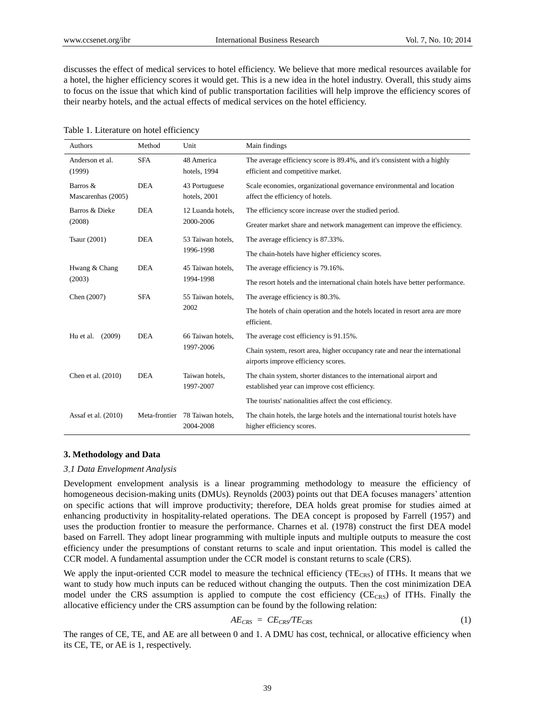discusses the effect of medical services to hotel efficiency. We believe that more medical resources available for a hotel, the higher efficiency scores it would get. This is a new idea in the hotel industry. Overall, this study aims to focus on the issue that which kind of public transportation facilities will help improve the efficiency scores of their nearby hotels, and the actual effects of medical services on the hotel efficiency.

| Authors                        | Method        | Unit                           | Main findings                                                                                                         |  |
|--------------------------------|---------------|--------------------------------|-----------------------------------------------------------------------------------------------------------------------|--|
| Anderson et al.<br>(1999)      | <b>SFA</b>    | 48 America<br>hotels, 1994     | The average efficiency score is 89.4%, and it's consistent with a highly<br>efficient and competitive market.         |  |
| Barros &<br>Mascarenhas (2005) | <b>DEA</b>    | 43 Portuguese<br>hotels, 2001  | Scale economies, organizational governance environmental and location<br>affect the efficiency of hotels.             |  |
| Barros & Dieke                 | <b>DEA</b>    | 12 Luanda hotels,              | The efficiency score increase over the studied period.                                                                |  |
| (2008)                         |               | 2000-2006                      | Greater market share and network management can improve the efficiency.                                               |  |
| Tsaur (2001)                   | <b>DEA</b>    | 53 Taiwan hotels,              | The average efficiency is 87.33%.                                                                                     |  |
|                                |               | 1996-1998                      | The chain-hotels have higher efficiency scores.                                                                       |  |
| Hwang & Chang                  | <b>DEA</b>    | 45 Taiwan hotels,              | The average efficiency is 79.16%.                                                                                     |  |
| 1994-1998<br>(2003)            |               |                                | The resort hotels and the international chain hotels have better performance.                                         |  |
| Chen (2007)                    | <b>SFA</b>    | 55 Taiwan hotels,              | The average efficiency is 80.3%.                                                                                      |  |
| 2002                           |               |                                | The hotels of chain operation and the hotels located in resort area are more<br>efficient.                            |  |
| Hu et al.<br>(2009)            | <b>DEA</b>    | 66 Taiwan hotels,              | The average cost efficiency is 91.15%.                                                                                |  |
|                                | 1997-2006     |                                | Chain system, resort area, higher occupancy rate and near the international<br>airports improve efficiency scores.    |  |
| Chen et al. (2010)             | <b>DEA</b>    | Taiwan hotels,<br>1997-2007    | The chain system, shorter distances to the international airport and<br>established year can improve cost efficiency. |  |
|                                |               |                                | The tourists' nationalities affect the cost efficiency.                                                               |  |
| Assaf et al. (2010)            | Meta-frontier | 78 Taiwan hotels,<br>2004-2008 | The chain hotels, the large hotels and the international tourist hotels have<br>higher efficiency scores.             |  |

| Table 1. Literature on hotel efficiency |  |
|-----------------------------------------|--|
|-----------------------------------------|--|

## **3. Methodology and Data**

## *3*.*1 Data Envelopment Analysis*

Development envelopment analysis is a linear programming methodology to measure the efficiency of homogeneous decision-making units (DMUs). Reynolds (2003) points out that DEA focuses managers' attention on specific actions that will improve productivity; therefore, DEA holds great promise for studies aimed at enhancing productivity in hospitality-related operations. The DEA concept is proposed by Farrell (1957) and uses the production frontier to measure the performance. Charnes et al. (1978) construct the first DEA model based on Farrell. They adopt linear programming with multiple inputs and multiple outputs to measure the cost efficiency under the presumptions of constant returns to scale and input orientation. This model is called the CCR model. A fundamental assumption under the CCR model is constant returns to scale (CRS).

We apply the input-oriented CCR model to measure the technical efficiency (TE<sub>CRS</sub>) of ITHs. It means that we want to study how much inputs can be reduced without changing the outputs. Then the cost minimization DEA model under the CRS assumption is applied to compute the cost efficiency ( $CE_{CRS}$ ) of ITHs. Finally the allocative efficiency under the CRS assumption can be found by the following relation:

$$
AE_{CRS} = CE_{CRS} / TE_{CRS} \tag{1}
$$

The ranges of CE, TE, and AE are all between 0 and 1. A DMU has cost, technical, or allocative efficiency when its CE, TE, or AE is 1, respectively.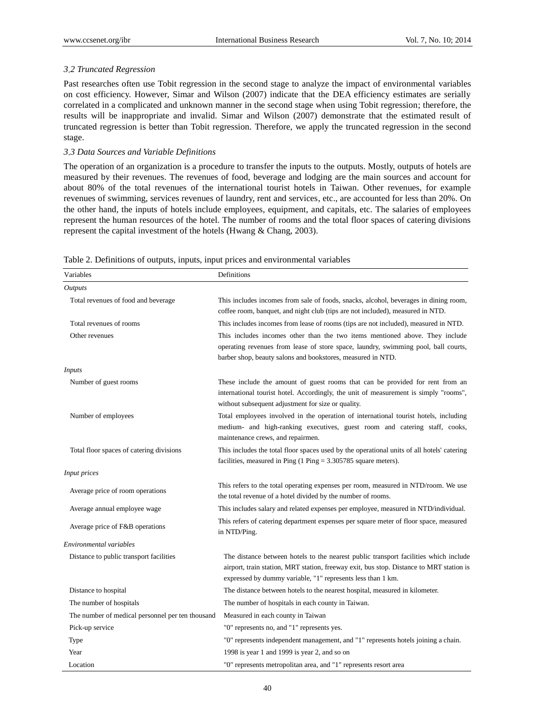# *3*.*2 Truncated Regression*

Past researches often use Tobit regression in the second stage to analyze the impact of environmental variables on cost efficiency. However, Simar and Wilson (2007) indicate that the DEA efficiency estimates are serially correlated in a complicated and unknown manner in the second stage when using Tobit regression; therefore, the results will be inappropriate and invalid. Simar and Wilson (2007) demonstrate that the estimated result of truncated regression is better than Tobit regression. Therefore, we apply the truncated regression in the second stage.

# *3*.*3 Data Sources and Variable Definitions*

The operation of an organization is a procedure to transfer the inputs to the outputs. Mostly, outputs of hotels are measured by their revenues. The revenues of food, beverage and lodging are the main sources and account for about 80% of the total revenues of the international tourist hotels in Taiwan. Other revenues, for example revenues of swimming, services revenues of laundry, rent and services, etc., are accounted for less than 20%. On the other hand, the inputs of hotels include employees, equipment, and capitals, etc. The salaries of employees represent the human resources of the hotel. The number of rooms and the total floor spaces of catering divisions represent the capital investment of the hotels (Hwang & Chang, 2003).

| Variables                                        | Definitions                                                                                                                                                                                                                                    |
|--------------------------------------------------|------------------------------------------------------------------------------------------------------------------------------------------------------------------------------------------------------------------------------------------------|
| <i><b>Outputs</b></i>                            |                                                                                                                                                                                                                                                |
| Total revenues of food and beverage              | This includes incomes from sale of foods, snacks, alcohol, beverages in dining room,<br>coffee room, banquet, and night club (tips are not included), measured in NTD.                                                                         |
| Total revenues of rooms                          | This includes incomes from lease of rooms (tips are not included), measured in NTD.                                                                                                                                                            |
| Other revenues                                   | This includes incomes other than the two items mentioned above. They include<br>operating revenues from lease of store space, laundry, swimming pool, ball courts,<br>barber shop, beauty salons and bookstores, measured in NTD.              |
| <i>Inputs</i>                                    |                                                                                                                                                                                                                                                |
| Number of guest rooms                            | These include the amount of guest rooms that can be provided for rent from an<br>international tourist hotel. Accordingly, the unit of measurement is simply "rooms",<br>without subsequent adjustment for size or quality.                    |
| Number of employees                              | Total employees involved in the operation of international tourist hotels, including<br>medium- and high-ranking executives, guest room and catering staff, cooks,<br>maintenance crews, and repairmen.                                        |
| Total floor spaces of catering divisions         | This includes the total floor spaces used by the operational units of all hotels' catering<br>facilities, measured in Ping $(1 \text{ Ping} = 3.305785 \text{ square meters}).$                                                                |
| Input prices                                     |                                                                                                                                                                                                                                                |
| Average price of room operations                 | This refers to the total operating expenses per room, measured in NTD/room. We use<br>the total revenue of a hotel divided by the number of rooms.                                                                                             |
| Average annual employee wage                     | This includes salary and related expenses per employee, measured in NTD/individual.                                                                                                                                                            |
| Average price of F&B operations                  | This refers of catering department expenses per square meter of floor space, measured<br>in NTD/Ping.                                                                                                                                          |
| Environmental variables                          |                                                                                                                                                                                                                                                |
| Distance to public transport facilities          | The distance between hotels to the nearest public transport facilities which include<br>airport, train station, MRT station, freeway exit, bus stop. Distance to MRT station is<br>expressed by dummy variable, "1" represents less than 1 km. |
| Distance to hospital                             | The distance between hotels to the nearest hospital, measured in kilometer.                                                                                                                                                                    |
| The number of hospitals                          | The number of hospitals in each county in Taiwan.                                                                                                                                                                                              |
| The number of medical personnel per ten thousand | Measured in each county in Taiwan                                                                                                                                                                                                              |
| Pick-up service                                  | "0" represents no, and "1" represents yes.                                                                                                                                                                                                     |
| Type                                             | "0" represents independent management, and "1" represents hotels joining a chain.                                                                                                                                                              |
| Year                                             | 1998 is year 1 and 1999 is year 2, and so on                                                                                                                                                                                                   |
| Location                                         | "0" represents metropolitan area, and "1" represents resort area                                                                                                                                                                               |

|  |  |  | Table 2. Definitions of outputs, inputs, input prices and environmental variables |  |
|--|--|--|-----------------------------------------------------------------------------------|--|
|  |  |  |                                                                                   |  |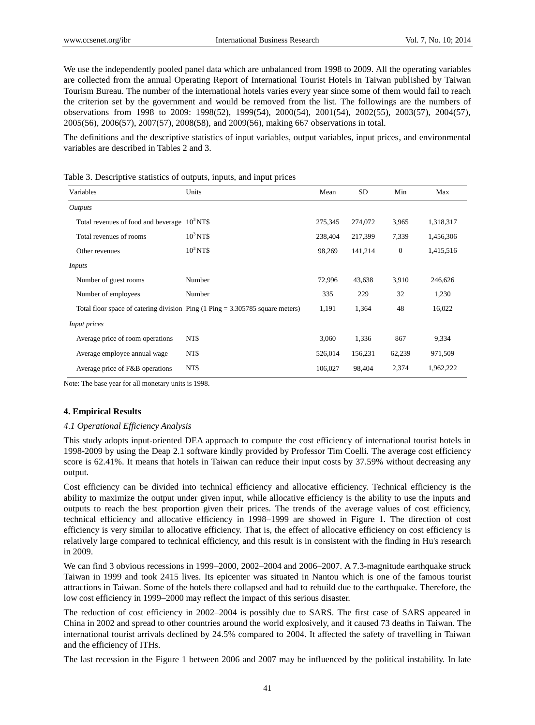We use the independently pooled panel data which are unbalanced from 1998 to 2009. All the operating variables are collected from the annual Operating Report of International Tourist Hotels in Taiwan published by Taiwan Tourism Bureau. The number of the international hotels varies every year since some of them would fail to reach the criterion set by the government and would be removed from the list. The followings are the numbers of observations from 1998 to 2009: 1998(52), 1999(54), 2000(54), 2001(54), 2002(55), 2003(57), 2004(57), 2005(56), 2006(57), 2007(57), 2008(58), and 2009(56), making 667 observations in total.

The definitions and the descriptive statistics of input variables, output variables, input prices, and environmental variables are described in Tables 2 and 3.

| Variables                                    | Units                                                                                                 | Mean    | <b>SD</b> | Min          | Max       |
|----------------------------------------------|-------------------------------------------------------------------------------------------------------|---------|-----------|--------------|-----------|
|                                              |                                                                                                       |         |           |              |           |
| <i>Outputs</i>                               |                                                                                                       |         |           |              |           |
| Total revenues of food and beverage $103NT$$ |                                                                                                       | 275,345 | 274,072   | 3,965        | 1,318,317 |
| Total revenues of rooms                      | $10^3$ NT\$                                                                                           | 238,404 | 217,399   | 7,339        | 1,456,306 |
| Other revenues                               | $10^3$ NT\$                                                                                           | 98,269  | 141,214   | $\mathbf{0}$ | 1,415,516 |
| Inputs                                       |                                                                                                       |         |           |              |           |
| Number of guest rooms                        | Number                                                                                                | 72,996  | 43,638    | 3,910        | 246,626   |
| Number of employees                          | Number                                                                                                | 335     | 229       | 32           | 1,230     |
|                                              | Total floor space of catering division $\text{Ping}(1 \text{ Ping} = 3.305785 \text{ square meters})$ | 1,191   | 1,364     | 48           | 16,022    |
| Input prices                                 |                                                                                                       |         |           |              |           |
| Average price of room operations             | NT\$                                                                                                  | 3,060   | 1,336     | 867          | 9,334     |
| Average employee annual wage                 | NT\$                                                                                                  | 526,014 | 156,231   | 62,239       | 971,509   |
| Average price of F&B operations              | NT\$                                                                                                  | 106,027 | 98,404    | 2,374        | 1,962,222 |

Table 3. Descriptive statistics of outputs, inputs, and input prices

Note: The base year for all monetary units is 1998.

# **4. Empirical Results**

# *4*.*1 Operational Efficiency Analysis*

This study adopts input-oriented DEA approach to compute the cost efficiency of international tourist hotels in 1998-2009 by using the Deap 2.1 software kindly provided by Professor Tim Coelli. The average cost efficiency score is 62.41%. It means that hotels in Taiwan can reduce their input costs by 37.59% without decreasing any output.

Cost efficiency can be divided into technical efficiency and allocative efficiency. Technical efficiency is the ability to maximize the output under given input, while allocative efficiency is the ability to use the inputs and outputs to reach the best proportion given their prices. The trends of the average values of cost efficiency, technical efficiency and allocative efficiency in 1998–1999 are showed in Figure 1. The direction of cost efficiency is very similar to allocative efficiency. That is, the effect of allocative efficiency on cost efficiency is relatively large compared to technical efficiency, and this result is in consistent with the finding in Hu's research in 2009.

We can find 3 obvious recessions in 1999–2000, 2002–2004 and 2006–2007. A 7.3-magnitude earthquake struck Taiwan in 1999 and took 2415 lives. Its epicenter was situated in Nantou which is one of the famous tourist attractions in Taiwan. Some of the hotels there collapsed and had to rebuild due to the earthquake. Therefore, the low cost efficiency in 1999–2000 may reflect the impact of this serious disaster.

The reduction of cost efficiency in 2002–2004 is possibly due to SARS. The first case of SARS appeared in China in 2002 and spread to other countries around the world explosively, and it caused 73 deaths in Taiwan. The international tourist arrivals declined by 24.5% compared to 2004. It affected the safety of travelling in Taiwan and the efficiency of ITHs.

The last recession in the Figure 1 between 2006 and 2007 may be influenced by the political instability. In late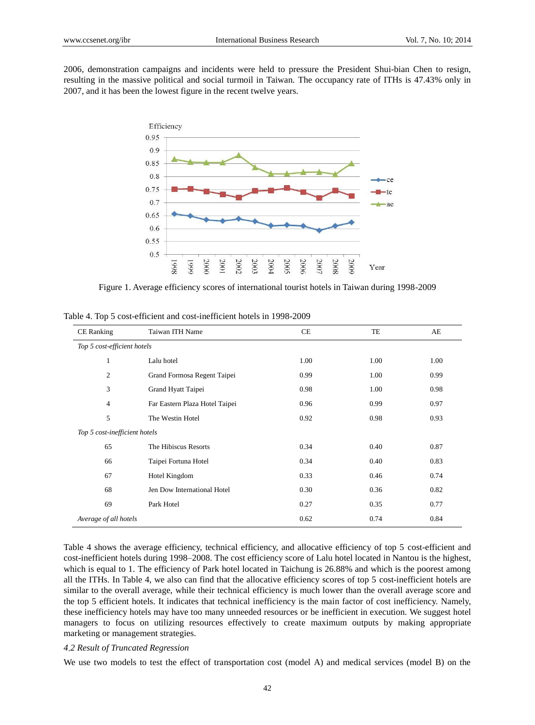2006, demonstration campaigns and incidents were held to pressure the President Shui-bian Chen to resign, resulting in the massive political and social turmoil in Taiwan. The occupancy rate of ITHs is 47.43% only in 2007, and it has been the lowest figure in the recent twelve years.



Figure 1. Average efficiency scores of international tourist hotels in Taiwan during 1998-2009

| <b>CE</b> Ranking             | Taiwan ITH Name                | CE   | TE   | AE   |  |  |
|-------------------------------|--------------------------------|------|------|------|--|--|
|                               | Top 5 cost-efficient hotels    |      |      |      |  |  |
| 1                             | Lalu hotel                     | 1.00 | 1.00 | 1.00 |  |  |
| $\mathfrak{2}$                | Grand Formosa Regent Taipei    | 0.99 | 1.00 | 0.99 |  |  |
| 3                             | Grand Hyatt Taipei             | 0.98 | 1.00 | 0.98 |  |  |
| 4                             | Far Eastern Plaza Hotel Taipei | 0.96 | 0.99 | 0.97 |  |  |
| 5                             | The Westin Hotel               | 0.92 | 0.98 | 0.93 |  |  |
| Top 5 cost-inefficient hotels |                                |      |      |      |  |  |
| 65                            | The Hibiscus Resorts           | 0.34 | 0.40 | 0.87 |  |  |
| 66                            | Taipei Fortuna Hotel           | 0.34 | 0.40 | 0.83 |  |  |
| 67                            | Hotel Kingdom                  | 0.33 | 0.46 | 0.74 |  |  |
| 68                            | Jen Dow International Hotel    | 0.30 | 0.36 | 0.82 |  |  |
| 69                            | Park Hotel                     | 0.27 | 0.35 | 0.77 |  |  |
| Average of all hotels         |                                | 0.62 | 0.74 | 0.84 |  |  |

Table 4. Top 5 cost-efficient and cost-inefficient hotels in 1998-2009

Table 4 shows the average efficiency, technical efficiency, and allocative efficiency of top 5 cost-efficient and cost-inefficient hotels during 1998–2008. The cost efficiency score of Lalu hotel located in Nantou is the highest, which is equal to 1. The efficiency of Park hotel located in Taichung is 26.88% and which is the poorest among all the ITHs. In Table 4, we also can find that the allocative efficiency scores of top 5 cost-inefficient hotels are similar to the overall average, while their technical efficiency is much lower than the overall average score and the top 5 efficient hotels. It indicates that technical inefficiency is the main factor of cost inefficiency. Namely, these inefficiency hotels may have too many unneeded resources or be inefficient in execution. We suggest hotel managers to focus on utilizing resources effectively to create maximum outputs by making appropriate marketing or management strategies.

## *4*.*2 Result of Truncated Regression*

We use two models to test the effect of transportation cost (model A) and medical services (model B) on the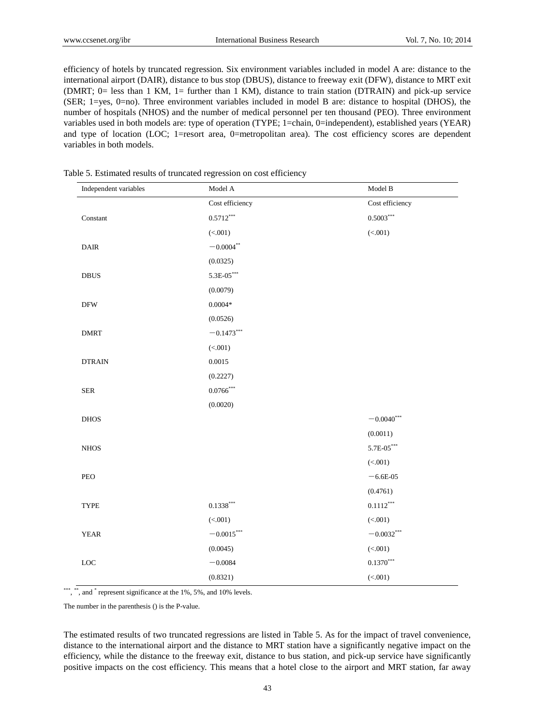efficiency of hotels by truncated regression. Six environment variables included in model A are: distance to the international airport (DAIR), distance to bus stop (DBUS), distance to freeway exit (DFW), distance to MRT exit (DMRT; 0= less than 1 KM, 1= further than 1 KM), distance to train station (DTRAIN) and pick-up service (SER; 1=yes, 0=no). Three environment variables included in model B are: distance to hospital (DHOS), the number of hospitals (NHOS) and the number of medical personnel per ten thousand (PEO). Three environment variables used in both models are: type of operation (TYPE; 1=chain, 0=independent), established years (YEAR) and type of location (LOC; 1=resort area, 0=metropolitan area). The cost efficiency scores are dependent variables in both models.

| Independent variables          | $\operatorname{\mathsf{Model}}\nolimits$ A | Model B                   |
|--------------------------------|--------------------------------------------|---------------------------|
|                                | Cost efficiency                            | Cost efficiency           |
| Constant                       | $0.5712^{\ast\ast\ast}$                    | $0.5003***$               |
|                                | (<.001)                                    | (<.001)                   |
| $\mathop{\rm DAIR}\nolimits$   | $-0.0004$ **                               |                           |
|                                | (0.0325)                                   |                           |
| <b>DBUS</b>                    | $5.3E - 05***$                             |                           |
|                                | (0.0079)                                   |                           |
| $\mathbf{DFW}$                 | $0.0004*$                                  |                           |
|                                | (0.0526)                                   |                           |
| ${\rm DMRT}$                   | $-0.1473***$                               |                           |
|                                | (<.001)                                    |                           |
| $\mathop{\rm DTRAIN}\nolimits$ | 0.0015                                     |                           |
|                                | (0.2227)                                   |                           |
| ${\tt SER}$                    | $0.0766***$                                |                           |
|                                | (0.0020)                                   |                           |
| <b>DHOS</b>                    |                                            | $-0.0040$ ***             |
|                                |                                            | (0.0011)                  |
| $\rm NHOS$                     |                                            | $5.7E - 05***$            |
|                                |                                            | (<.001)                   |
| PEO                            |                                            | $-6.6E-05$                |
|                                |                                            | (0.4761)                  |
| <b>TYPE</b>                    | $0.1338***$                                | $0.1112***$               |
|                                | (<.001)                                    | (<.001)                   |
| <b>YEAR</b>                    | $-0.0015***$                               | $-0.0032***$              |
|                                | (0.0045)                                   | (<.001)                   |
| $_{\mathrm{LOC}}$              | $-0.0084$                                  | ${0.1370}^{\ast\ast\ast}$ |
|                                | (0.8321)                                   | (<.001)                   |

Table 5. Estimated results of truncated regression on cost efficiency

\*\*\*, \*\*, and \* represent significance at the 1%, 5%, and 10% levels.

The number in the parenthesis () is the P-value.

The estimated results of two truncated regressions are listed in Table 5. As for the impact of travel convenience, distance to the international airport and the distance to MRT station have a significantly negative impact on the efficiency, while the distance to the freeway exit, distance to bus station, and pick-up service have significantly positive impacts on the cost efficiency. This means that a hotel close to the airport and MRT station, far away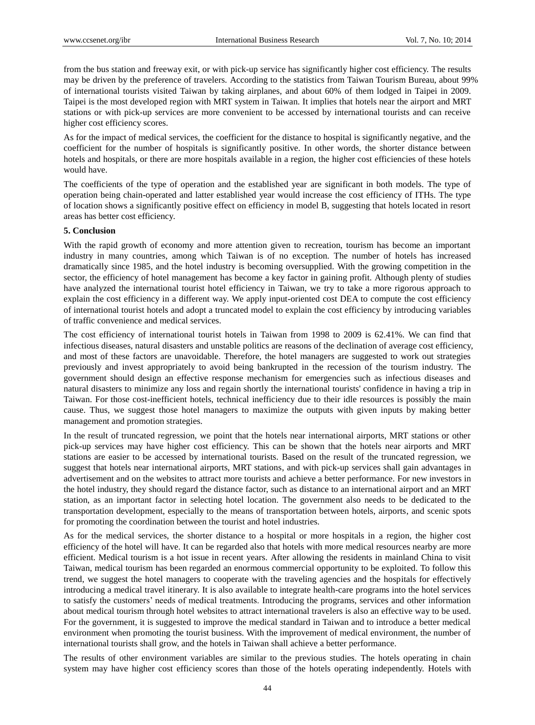from the bus station and freeway exit, or with pick-up service has significantly higher cost efficiency. The results may be driven by the preference of travelers. According to the statistics from Taiwan Tourism Bureau, about 99% of international tourists visited Taiwan by taking airplanes, and about 60% of them lodged in Taipei in 2009. Taipei is the most developed region with MRT system in Taiwan. It implies that hotels near the airport and MRT stations or with pick-up services are more convenient to be accessed by international tourists and can receive higher cost efficiency scores.

As for the impact of medical services, the coefficient for the distance to hospital is significantly negative, and the coefficient for the number of hospitals is significantly positive. In other words, the shorter distance between hotels and hospitals, or there are more hospitals available in a region, the higher cost efficiencies of these hotels would have.

The coefficients of the type of operation and the established year are significant in both models. The type of operation being chain-operated and latter established year would increase the cost efficiency of ITHs. The type of location shows a significantly positive effect on efficiency in model B, suggesting that hotels located in resort areas has better cost efficiency.

# **5. Conclusion**

With the rapid growth of economy and more attention given to recreation, tourism has become an important industry in many countries, among which Taiwan is of no exception. The number of hotels has increased dramatically since 1985, and the hotel industry is becoming oversupplied. With the growing competition in the sector, the efficiency of hotel management has become a key factor in gaining profit. Although plenty of studies have analyzed the international tourist hotel efficiency in Taiwan, we try to take a more rigorous approach to explain the cost efficiency in a different way. We apply input-oriented cost DEA to compute the cost efficiency of international tourist hotels and adopt a truncated model to explain the cost efficiency by introducing variables of traffic convenience and medical services.

The cost efficiency of international tourist hotels in Taiwan from 1998 to 2009 is 62.41%. We can find that infectious diseases, natural disasters and unstable politics are reasons of the declination of average cost efficiency, and most of these factors are unavoidable. Therefore, the hotel managers are suggested to work out strategies previously and invest appropriately to avoid being bankrupted in the recession of the tourism industry. The government should design an effective response mechanism for emergencies such as infectious diseases and natural disasters to minimize any loss and regain shortly the international tourists' confidence in having a trip in Taiwan. For those cost-inefficient hotels, technical inefficiency due to their idle resources is possibly the main cause. Thus, we suggest those hotel managers to maximize the outputs with given inputs by making better management and promotion strategies.

In the result of truncated regression, we point that the hotels near international airports, MRT stations or other pick-up services may have higher cost efficiency. This can be shown that the hotels near airports and MRT stations are easier to be accessed by international tourists. Based on the result of the truncated regression, we suggest that hotels near international airports, MRT stations, and with pick-up services shall gain advantages in advertisement and on the websites to attract more tourists and achieve a better performance. For new investors in the hotel industry, they should regard the distance factor, such as distance to an international airport and an MRT station, as an important factor in selecting hotel location. The government also needs to be dedicated to the transportation development, especially to the means of transportation between hotels, airports, and scenic spots for promoting the coordination between the tourist and hotel industries.

As for the medical services, the shorter distance to a hospital or more hospitals in a region, the higher cost efficiency of the hotel will have. It can be regarded also that hotels with more medical resources nearby are more efficient. Medical tourism is a hot issue in recent years. After allowing the residents in mainland China to visit Taiwan, medical tourism has been regarded an enormous commercial opportunity to be exploited. To follow this trend, we suggest the hotel managers to cooperate with the traveling agencies and the hospitals for effectively introducing a medical travel itinerary. It is also available to integrate health-care programs into the hotel services to satisfy the customers' needs of medical treatments. Introducing the programs, services and other information about medical tourism through hotel websites to attract international travelers is also an effective way to be used. For the government, it is suggested to improve the medical standard in Taiwan and to introduce a better medical environment when promoting the tourist business. With the improvement of medical environment, the number of international tourists shall grow, and the hotels in Taiwan shall achieve a better performance.

The results of other environment variables are similar to the previous studies. The hotels operating in chain system may have higher cost efficiency scores than those of the hotels operating independently. Hotels with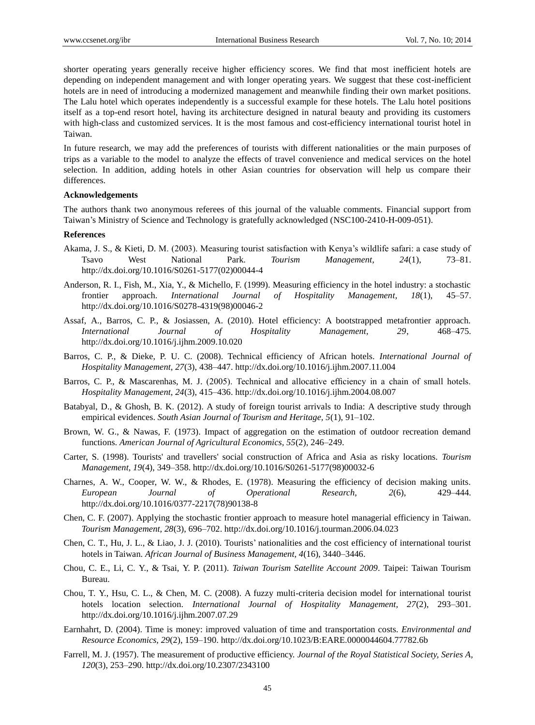shorter operating years generally receive higher efficiency scores. We find that most inefficient hotels are depending on independent management and with longer operating years. We suggest that these cost-inefficient hotels are in need of introducing a modernized management and meanwhile finding their own market positions. The Lalu hotel which operates independently is a successful example for these hotels. The Lalu hotel positions itself as a top-end resort hotel, having its architecture designed in natural beauty and providing its customers with high-class and customized services. It is the most famous and cost-efficiency international tourist hotel in Taiwan.

In future research, we may add the preferences of tourists with different nationalities or the main purposes of trips as a variable to the model to analyze the effects of travel convenience and medical services on the hotel selection. In addition, adding hotels in other Asian countries for observation will help us compare their differences.

## **Acknowledgements**

The authors thank two anonymous referees of this journal of the valuable comments. Financial support from Taiwan's Ministry of Science and Technology is gratefully acknowledged (NSC100-2410-H-009-051).

#### **References**

- Akama, J. S., & Kieti, D. M. (2003). Measuring tourist satisfaction with Kenya's wildlife safari: a case study of Tsavo West National Park. *Tourism Management, 24*(1), 73–81. http://dx.doi.org/10.1016/S0261-5177(02)00044-4
- Anderson, R. I., Fish, M., Xia, Y., & Michello, F. (1999). Measuring efficiency in the hotel industry: a stochastic frontier approach. *International Journal of Hospitality Management, 18*(1)*,* 45–57. http://dx.doi.org/10.1016/S0278-4319(98)00046-2
- Assaf, A., Barros, C. P., & Josiassen, A. (2010). Hotel efficiency: A bootstrapped metafrontier approach. *International Journal of Hospitality Management, 29*, 468–475. http://dx.doi.org/10.1016/j.ijhm.2009.10.020
- Barros, C. P., & Dieke, P. U. C. (2008). Technical efficiency of African hotels. *International Journal of Hospitality Management, 27*(3), 438–447. http://dx.doi.org/10.1016/j.ijhm.2007.11.004
- Barros, C. P., & Mascarenhas, M. J. (2005). Technical and allocative efficiency in a chain of small hotels. *Hospitality Management, 24*(3), 415–436. http://dx.doi.org/10.1016/j.ijhm.2004.08.007
- Batabyal, D., & Ghosh, B. K. (2012). A study of foreign tourist arrivals to India: A descriptive study through empirical evidences. *South Asian Journal of Tourism and Heritage, 5*(1), 91–102.
- Brown, W. G., & Nawas, F. (1973). Impact of aggregation on the estimation of outdoor recreation demand functions. *American Journal of Agricultural Economics, 55*(2), 246–249.
- Carter, S. (1998). Tourists' and travellers' social construction of Africa and Asia as risky locations. *Tourism Management, 19*(4), 349–358. http://dx.doi.org/10.1016/S0261-5177(98)00032-6
- Charnes, A. W., Cooper, W. W., & Rhodes, E. (1978). Measuring the efficiency of decision making units. *European Journal of Operational Research, 2*(6), 429–444. http://dx.doi.org/10.1016/0377-2217(78)90138-8
- Chen, C. F. (2007). Applying the stochastic frontier approach to measure hotel managerial efficiency in Taiwan. *Tourism Management, 28*(3), 696–702. http://dx.doi.org/10.1016/j.tourman.2006.04.023
- Chen, C. T., Hu, J. L., & Liao, J. J. (2010). Tourists' nationalities and the cost efficiency of international tourist hotels in Taiwan. *African Journal of Business Management, 4*(16), 3440–3446.
- Chou, C. E., Li, C. Y., & Tsai, Y. P. (2011). *Taiwan Tourism Satellite Account 2009*. Taipei: Taiwan Tourism Bureau.
- Chou, T. Y., Hsu, C. L., & Chen, M. C. (2008). A fuzzy multi-criteria decision model for international tourist hotels location selection. *International Journal of Hospitality Management, 27*(2), 293–301. http://dx.doi.org/10.1016/j.ijhm.2007.07.29
- Earnhahrt, D. (2004). Time is money: improved valuation of time and transportation costs. *Environmental and Resource Economics, 29*(2), 159–190. http://dx.doi.org/10.1023/B:EARE.0000044604.77782.6b
- Farrell, M. J. (1957). The measurement of productive efficiency. *Journal of the Royal Statistical Society, Series A, 120*(3), 253–290. http://dx.doi.org/10.2307/2343100